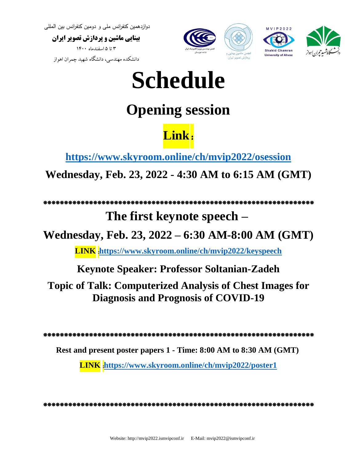**بینایی ماشین و پردازش تصویر ایران**  3 تا 5 اسفندماه 1400

دانشکده مهندسی، دانشگاه شهید چمران اهواز



# **Schedule**

# **Opening session**

# **Link**:

**<https://www.skyroom.online/ch/mvip2022/osession>**

**Wednesday, Feb. 23, 2022 - 4:30 AM to 6:15 AM (GMT)**

### \*\*\*\*\*\*\*\*\*\*\*\*\*\*\*\*\*\*\*\*\*\*\*\*\*\*\*\*\*\*\*\*\*\*\*\*\*\*\*\*\*\*\*\*\*\*\*\*\*\*\*\*\*\*\*\*\*\*\*\*\*\*\*\*\*

## **The first keynote speech –**

**Wednesday, Feb. 23, 2022 – 6:30 AM-8:00 AM (GMT)**

**LINK** :**<https://www.skyroom.online/ch/mvip2022/keyspeech>**

**Keynote Speaker: Professor Soltanian-Zadeh**

**Topic of Talk: Computerized Analysis of Chest Images for Diagnosis and Prognosis of COVID-19**

\*\*\*\*\*\*\*\*\*\*\*\*\*\*\*\*\*\*\*\*\*\*\*\*\*\*\*\*\*\*\*\*\*\*\*\*\*\*\*\*\*\*\*\*\*\*\*\*\*\*\*\*\*\*\*\*\*\*\*\*\*\*\*\*\*

**Rest and present poster papers 1 - Time: 8:00 AM to 8:30 AM (GMT)**

**LINK** :**<https://www.skyroom.online/ch/mvip2022/poster1>**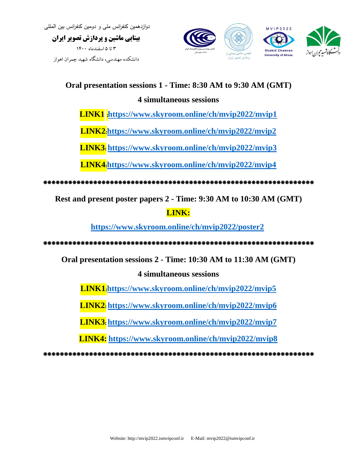**بینایی ماشین و پردازش تصویر ایران**  3 تا 5 اسفندماه 1400 دانشکده مهندسی، دانشگاه شهید چمران اهواز



### **Oral presentation sessions 1 - Time: 8:30 AM to 9:30 AM (GMT)**

### **4 simultaneous sessions**

**LINK1** <https://www.skyroom.online/ch/mvip2022/mvip1>

**LINK2** : **<https://www.skyroom.online/ch/mvip2022/mvip2>**

**LINK3** : **<https://www.skyroom.online/ch/mvip2022/mvip3>**

**LINK4** : **<https://www.skyroom.online/ch/mvip2022/mvip4>**

\*\*\*\*\*\*\*\*\*\*\*\*\*\*\*\*\*\*\*\*\*\*\*\*\*\*\*\*\*\*\*\*\*\*\*\*\*\*

**Rest and present poster papers 2 - Time: 9:30 AM to 10:30 AM (GMT)**

### **LINK :**

**<https://www.skyroom.online/ch/mvip2022/poster2>**

\*\*\*\*\*\*\*\*\*\*\*\*\*\*\*\*\*\*\*\*\*\*\*\*\*\*\*\*\*\*\*\*\*\*\*\*\*\*\*\*\*\*\*\*\*\*\*\*\*\*\*\*\*\*\*\*\*\*\*\*\*\*\*\*\*

**Oral presentation sessions 2 - Time: 10:30 AM to 11:30 AM (GMT)**

**4 simultaneous sessions**

**LINK1**:<https://www.skyroom.online/ch/mvip2022/mvip5>

**LINK2** : **<https://www.skyroom.online/ch/mvip2022/mvip6>**

**LINK3** <https://www.skyroom.online/ch/mvip2022/mvip7>

**LINK4: <https://www.skyroom.online/ch/mvip2022/mvip8>**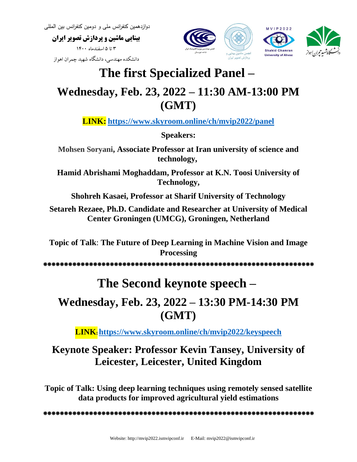**بینایی ماشین و پردازش تصویر ایران** 

3 تا 5 اسفندماه 1400

دانشکده مهندسی، دانشگاه شهید چمران اهواز



## **The first Specialized Panel –**

### **Wednesday, Feb. 23, 2022 – 11:30 AM-13:00 PM (GMT)**

**LINK: <https://www.skyroom.online/ch/mvip2022/panel>**

**Speakers:**

**Mohsen Soryani, Associate Professor at Iran university of science and technology,** 

**Hamid Abrishami Moghaddam, Professor at K.N. Toosi University of Technology,**

**Shohreh Kasaei, Professor at Sharif University of Technology**

**Setareh Rezaee, Ph.D. Candidate and Researcher at University of Medical Center Groningen (UMCG), Groningen, Netherland**

**Topic of Talk**: **The Future of Deep Learning in Machine Vision and Image Processing**

\*\*\*\*\*\*\*\*\*\*\*\*\*\*\*\*\*\*\*\*\*\*\*\*\*\*\*\*\*\*\*\*\*\*\*\*\*\*\*\*\*\*\*\*\*\*\*\*\*\*\*\*\*\*\*\*\*\*\*\*\*\*\*\*\*

## **The Second keynote speech –**

## **Wednesday, Feb. 23, 2022 – 13:30 PM-14:30 PM (GMT)**

**LINK**: **<https://www.skyroom.online/ch/mvip2022/keyspeech>**

### **Keynote Speaker: Professor Kevin Tansey, University of Leicester, Leicester, United Kingdom**

**Topic of Talk: Using deep learning techniques using remotely sensed satellite data products for improved agricultural yield estimations**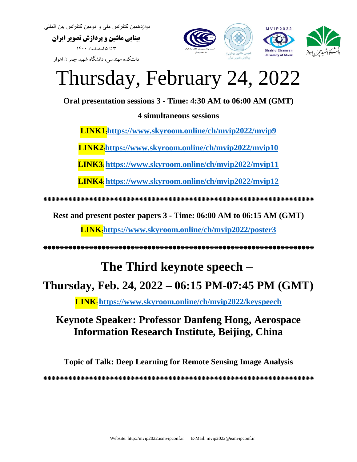**بینایی ماشین و پردازش تصویر ایران**  3 تا 5 اسفندماه 1400 دانشکده مهندسی، دانشگاه شهید چمران اهواز



# Thursday, February 24, 2022

**Oral presentation sessions 3 - Time: 4:30 AM to 06:00 AM (GMT)**

### **4 simultaneous sessions**

**LINK1** : **<https://www.skyroom.online/ch/mvip2022/mvip9>**

**LINK2**:<https://www.skyroom.online/ch/mvip2022/mvip10>

**LINK3** : **<https://www.skyroom.online/ch/mvip2022/mvip11>**

**LINK4** : **<https://www.skyroom.online/ch/mvip2022/mvip12>**

\*\*\*\*\*\* \*\*\*\*\*\*\*\*\*\*\*\*\*\*\*\*\*\*\*\*\*\*\*\*\*\*\*\*\*\*\*\*\*\*\*\*\*\*\*\*\*\*\*\*\*\*\*\*\*\*\*\*\*\*\*\*\*\*\*

**Rest and present poster papers 3 - Time: 06:00 AM to 06:15 AM (GMT)**

**LINK**: **<https://www.skyroom.online/ch/mvip2022/poster3>**

\*\*\*\*\*\*\*\*\*\*\*\*\*\*\*\*\*\*\*\*\*\*\*\*\*\*\*\*\*\*\*\*\*\*\*\*\*\*\*\*\*\*\*\*\*\*\*\*\*\*\*\*\*\*\*\*\*\*\*\*\*\*\*\*\*

### **The Third keynote speech –**

### **Thursday, Feb. 24, 2022 – 06:15 PM-07:45 PM (GMT)**

**LINK**: **<https://www.skyroom.online/ch/mvip2022/keyspeech>**

### **Keynote Speaker: Professor Danfeng Hong, Aerospace Information Research Institute, Beijing, China**

**Topic of Talk: Deep Learning for Remote Sensing Image Analysis**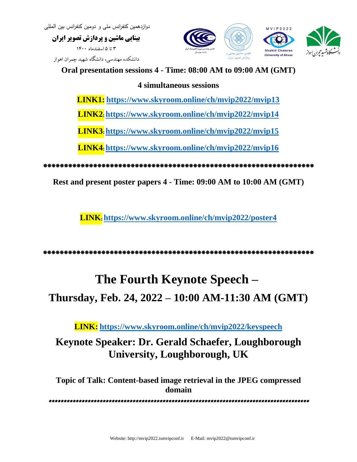**بینایی ماشین و پردازش تصویر ایران**  3 تا 5 اسفندماه 1400 دانشکده مهندسی، دانشگاه شهید چمران اهواز



**Oral presentation sessions 4 - Time: 08:00 AM to 09:00 AM (GMT)**

#### **4 simultaneous sessions**

**LINK1: <https://www.skyroom.online/ch/mvip2022/mvip13>**

**LINK2** : **<https://www.skyroom.online/ch/mvip2022/mvip14>**

**LINK3** : **<https://www.skyroom.online/ch/mvip2022/mvip15>**

**LINK4** : **<https://www.skyroom.online/ch/mvip2022/mvip16>**

\*\*\*\*\*\*\*\*\*\*\*\*\*\*\*\*\*\*\*\*\*\*\*\*\*\*\*\*\*\*\*\*\*\*\*\*\*\*\*\*\*\*\*\*\*\*\*\*\*\*\*\*\*\*\*\*\*\*\*\*\*\*\*\*\*

**Rest and present poster papers 4 - Time: 09:00 AM to 10:00 AM (GMT)**

**LINK**: **<https://www.skyroom.online/ch/mvip2022/poster4>**

\*\*\*\*\*\*\*\*\*\*\*\*\*\*\*\*\*\*\*\*\*\*\*\*\*\*\*\*\*\*\*\*\*\*\*\*\*\*\*\*\*\*\*\*\*\*\*\*\*\*\*\*\*\*\*\*\*\*\*\*\*\*\*\*\*

## **The Fourth Keynote Speech – Thursday, Feb. 24, 2022 – 10:00 AM-11:30 AM (GMT)**

**LINK: <https://www.skyroom.online/ch/mvip2022/keyspeech>**

### **Keynote Speaker: Dr. Gerald Schaefer, Loughborough University, Loughborough, UK**

**Topic of Talk: Content-based image retrieval in the JPEG compressed domain**

\*\*\*\*\*\*\*\*\*\*\*\*\*\*\*\*\*\*\*\*\*\*\*\*\*\*\*\*\*\*\*\*\*\*\*\*\*\*\*\*\*\*\*\*\*\*\*\*\*\*\*\*\*\*\*\*\*\*\*\*\*\*\*\*\*\*\*\*\*\*\*\*\*\*\*\*\*\*\*\*\*\*\*\*\*\*\*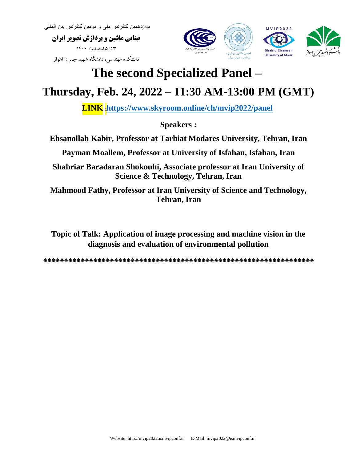**بینایی ماشین و پردازش تصویر ایران**  3 تا 5 اسفندماه 1400 دانشکده مهندسی، دانشگاه شهید چمران اهواز



## **The second Specialized Panel –**

## **Thursday, Feb. 24, 2022 – 11:30 AM-13:00 PM (GMT)**

**LINK** :**<https://www.skyroom.online/ch/mvip2022/panel>**

**Speakers :**

**Ehsanollah Kabir, Professor at Tarbiat Modares University, Tehran, Iran**

**Payman Moallem, Professor at University of Isfahan, Isfahan, Iran**

**Shahriar Baradaran Shokouhi, Associate professor at Iran University of Science & Technology, Tehran, Iran**

**Mahmood Fathy, Professor at Iran University of Science and Technology, Tehran, Iran**

**Topic of Talk: Application of image processing and machine vision in the diagnosis and evaluation of environmental pollution**